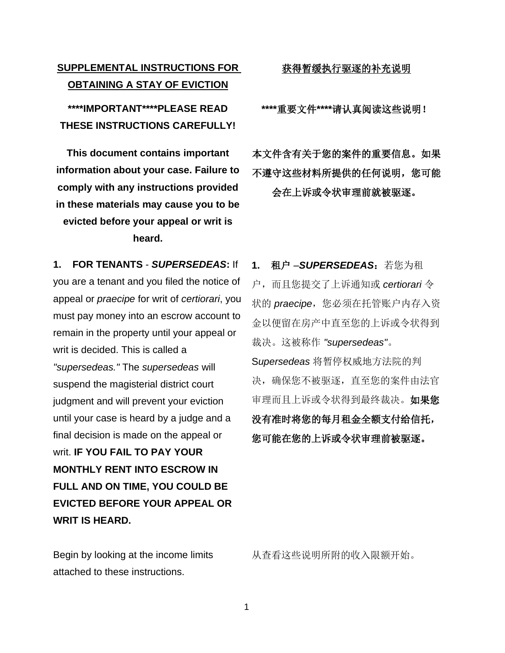## **SUPPLEMENTAL INSTRUCTIONS FOR OBTAINING A STAY OF EVICTION**

**\*\*\*\*IMPORTANT\*\*\*\*PLEASE READ THESE INSTRUCTIONS CAREFULLY!**

**This document contains important information about your case. Failure to comply with any instructions provided in these materials may cause you to be evicted before your appeal or writ is heard.**

**1. FOR TENANTS** - *SUPERSEDEAS***:** If you are a tenant and you filed the notice of appeal or *praecipe* for writ of *certiorari*, you must pay money into an escrow account to remain in the property until your appeal or writ is decided. This is called a *"supersedeas."* The *supersedeas* will suspend the magisterial district court judgment and will prevent your eviction until your case is heard by a judge and a final decision is made on the appeal or writ. **IF YOU FAIL TO PAY YOUR MONTHLY RENT INTO ESCROW IN FULL AND ON TIME, YOU COULD BE EVICTED BEFORE YOUR APPEAL OR WRIT IS HEARD.**

Begin by looking at the income limits attached to these instructions.

获得暂缓执行驱逐的补充说明

**\*\*\*\***重要文件**\*\*\*\***请认真阅读这些说明!

本文件含有关于您的案件的重要信息。如果 不遵守这些材料所提供的任何说明,您可能 会在上诉或令状审理前就被驱逐。

**1.** 租户 –*SUPERSEDEAS*:若您为租 户,而且您提交了上诉通知或 *certiorari* 令 状的 praecipe, 您必须在托管账户内存入资 金以便留在房产中直至您的上诉或令状得到 裁决。这被称作 *"supersedeas"*。 S*upersedeas* 将暂停权威地方法院的判 决,确保您不被驱逐,直至您的案件由法官 审理而且上诉或令状得到最终裁决。如果您 没有准时将您的每月租金全额支付给信托, 您可能在您的上诉或令状审理前被驱逐。

从查看这些说明所附的收入限额开始。

1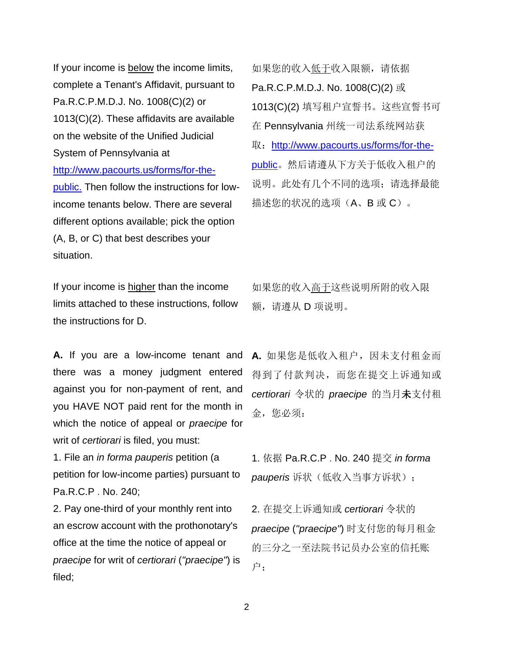If your income is below the income limits, complete a Tenant's Affidavit, pursuant to Pa.R.C.P.M.D.J. No. 1008(C)(2) or 1013(C)(2). These affidavits are available on the website of the Unified Judicial System of Pennsylvania at [http://www.pacourts.us/forms/for-the](http://www.pacourts.us/forms/for-the-public.)[public.](http://www.pacourts.us/forms/for-the-public.) Then follow the instructions for lowincome tenants below. There are several different options available; pick the option (A, B, or C) that best describes your situation.

如果您的收入低于收入限额,请依据 Pa.R.C.P.M.D.J. No. 1008(C)(2) 或 1013(C)(2) 填写租户宣誓书。这些宣誓书可 在 Pennsylvania 州统一司法系统网站获 取: [http://www.pacourts.us/forms/for-the](http://www.pacourts.us/forms/for-the-public)[public](http://www.pacourts.us/forms/for-the-public)。然后请遵从下方关于低收入租户的 说明。此处有几个不同的选项;请选择最能 描述您的状况的选项(A、B 或 C)。

If your income is higher than the income limits attached to these instructions, follow the instructions for D.

**A.** If you are a low-income tenant and there was a money judgment entered against you for non-payment of rent, and you HAVE NOT paid rent for the month in which the notice of appeal or *praecipe* for writ of *certiorari* is filed, you must:

1. File an *in forma pauperis* petition (a petition for low-income parties) pursuant to Pa.R.C.P . No. 240;

2. Pay one-third of your monthly rent into an escrow account with the prothonotary's office at the time the notice of appeal or *praecipe* for writ of *certiorari* (*"praecipe"*) is filed;

如果您的收入高于这些说明所附的收入限 额,请遵从 D 项说明。

**A.** 如果您是低收入租户,因未支付租金而 得到了付款判决,而您在提交上诉通知或 *certiorari* 令状的 *praecipe* 的当月未支付租 金,您必须:

1. 依据 Pa.R.C.P . No. 240 提交 *in forma pauperis* 诉状(低收入当事方诉状);

2. 在提交上诉通知或 *certiorari* 令状的 *praecipe* (*"praecipe"*) 时支付您的每月租金 的三分之一至法院书记员办公室的信托账 户;

2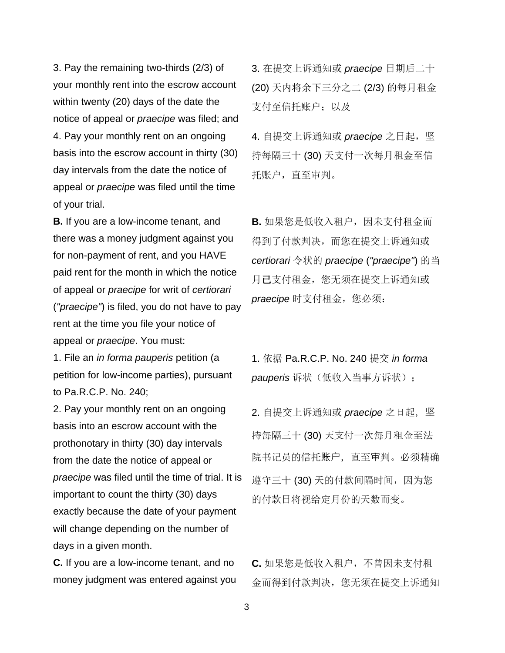3. Pay the remaining two-thirds (2/3) of your monthly rent into the escrow account within twenty (20) days of the date the notice of appeal or *praecipe* was filed; and 4. Pay your monthly rent on an ongoing basis into the escrow account in thirty (30) day intervals from the date the notice of appeal or *praecipe* was filed until the time of your trial.

**B.** If you are a low-income tenant, and there was a money judgment against you for non-payment of rent, and you HAVE paid rent for the month in which the notice of appeal or *praecipe* for writ of *certiorari* (*"praecipe"*) is filed, you do not have to pay rent at the time you file your notice of appeal or *praecipe*. You must:

1. File an *in forma pauperis* petition (a petition for low-income parties), pursuant to Pa.R.C.P. No. 240;

2. Pay your monthly rent on an ongoing basis into an escrow account with the prothonotary in thirty (30) day intervals from the date the notice of appeal or *praecipe* was filed until the time of trial. It is important to count the thirty (30) days exactly because the date of your payment will change depending on the number of days in a given month.

**C.** If you are a low-income tenant, and no money judgment was entered against you

3. 在提交上诉通知或 *praecipe* 日期后二十 (20) 天内将余下三分之二 (2/3) 的每月租金 支付至信托账户: 以及

4. 自提交上诉通知或 praecipe 之日起, 坚 持每隔三十 (30) 天支付一次每月租金至信 托账户,直至审判。

**B.** 如果您是低收入租户,因未支付租金而 得到了付款判决,而您在提交上诉通知或 *certiorari* 令状的 *praecipe* (*"praecipe"*) 的当 月已支付租金,您无须在提交上诉通知或 praecipe 时支付租金, 您必须:

1. 依据 Pa.R.C.P. No. 240 提交 *in forma pauperis* 诉状(低收入当事方诉状);

2. 自提交上诉通知或 *praecipe* 之日起,坚 持每隔三十 (30) 天支付一次每月租金至法 院书记员的信托账户,直至审判。必须精确 遵守三十 (30) 天的付款间隔时间,因为您 的付款日将视给定月份的天数而变。

**C.** 如果您是低收入租户,不曾因未支付租 金而得到付款判决,您无须在提交上诉通知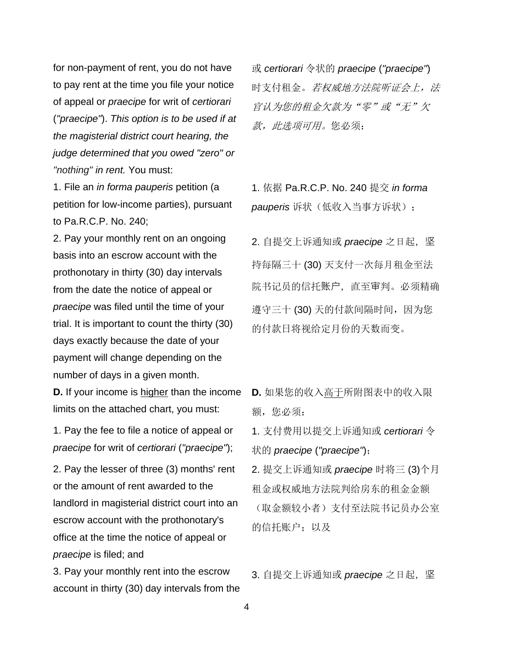for non-payment of rent, you do not have to pay rent at the time you file your notice of appeal or *praecipe* for writ of *certiorari*  (*"praecipe"*). *This option is to be used if at the magisterial district court hearing, the judge determined that you owed "zero" or "nothing" in rent.* You must:

1. File an *in forma pauperis* petition (a petition for low-income parties), pursuant to Pa.R.C.P. No. 240;

2. Pay your monthly rent on an ongoing basis into an escrow account with the prothonotary in thirty (30) day intervals from the date the notice of appeal or *praecipe* was filed until the time of your trial. It is important to count the thirty (30) days exactly because the date of your payment will change depending on the number of days in a given month.

**D.** If your income is higher than the income limits on the attached chart, you must:

1. Pay the fee to file a notice of appeal or *praecipe* for writ of *certiorari* (*"praecipe"*);

2. Pay the lesser of three (3) months' rent or the amount of rent awarded to the landlord in magisterial district court into an escrow account with the prothonotary's office at the time the notice of appeal or *praecipe* is filed; and

3. Pay your monthly rent into the escrow account in thirty (30) day intervals from the 或 *certiorari* 令状的 *praecipe* (*"praecipe"*) 时支付租金。若权威地方法院听证会上,法 官认为您的租金欠款为"零"或"无"欠 款,此选项可用。您必须:

1. 依据 Pa.R.C.P. No. 240 提交 *in forma pauperis* 诉状(低收入当事方诉状);

2. 自提交上诉通知或 *praecipe* 之日起, 坚 持每隔三十 (30) 天支付一次每月租金至法 院书记员的信托账户,直至审判。必须精确 遵守三十 (30) 天的付款间隔时间, 因为您 的付款日将视给定月份的天数而变。

**D.** 如果您的收入高于所附图表中的收入限 额, 您必须:

1. 支付费用以提交上诉通知或 *certiorari* 令 状的 *praecipe* (*"praecipe"*);

2. 提交上诉通知或 *praecipe* 时将三 (3)个月 租金或权威地方法院判给房东的租金金额 (取金额较小者)支付至法院书记员办公室 的信托账户;以及

3. 自提交上诉通知或 praecipe 之日起, 坚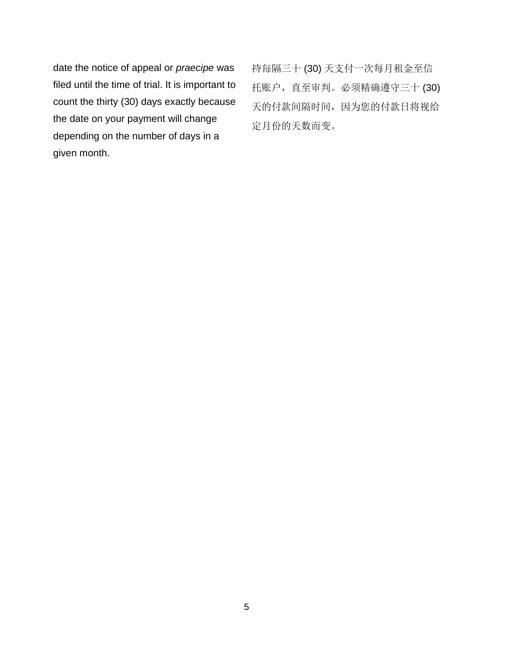date the notice of appeal or *praecipe* was filed until the time of trial. It is important to count the thirty (30) days exactly because the date on your payment will change depending on the number of days in a given month.

持每隔三十 (30) 天支付一次每月租金至信 托账户,直至审判。必须精确遵守三十 (30) 天的付款间隔时间,因为您的付款日将视给 定月份的天数而变。